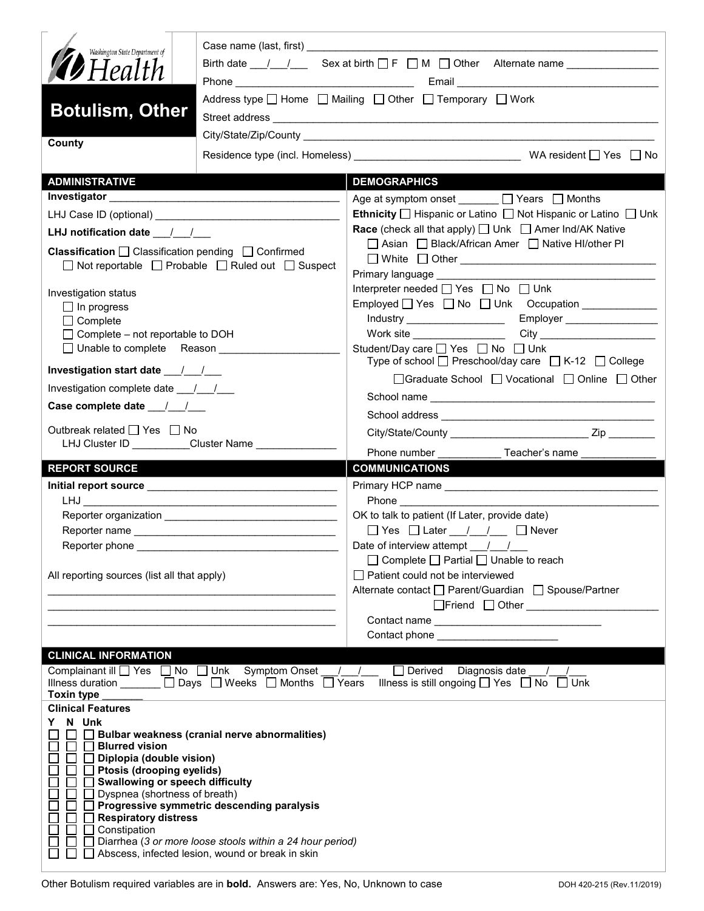| Washington State Department of<br>$\blacktriangledown$ Health<br><b>Botulism, Other</b>                                                                                                                                                |                                                                                                                                                                                                                                      | Address type $\Box$ Home $\Box$ Mailing $\Box$ Other $\Box$ Temporary $\Box$ Work                                                                                             |  |  |  |  |
|----------------------------------------------------------------------------------------------------------------------------------------------------------------------------------------------------------------------------------------|--------------------------------------------------------------------------------------------------------------------------------------------------------------------------------------------------------------------------------------|-------------------------------------------------------------------------------------------------------------------------------------------------------------------------------|--|--|--|--|
| County                                                                                                                                                                                                                                 |                                                                                                                                                                                                                                      |                                                                                                                                                                               |  |  |  |  |
|                                                                                                                                                                                                                                        |                                                                                                                                                                                                                                      |                                                                                                                                                                               |  |  |  |  |
| <b>ADMINISTRATIVE</b>                                                                                                                                                                                                                  |                                                                                                                                                                                                                                      | <b>DEMOGRAPHICS</b>                                                                                                                                                           |  |  |  |  |
|                                                                                                                                                                                                                                        |                                                                                                                                                                                                                                      | Age at symptom onset ______ □ Years □ Months<br><b>Ethnicity</b> $\Box$ Hispanic or Latino $\Box$ Not Hispanic or Latino $\Box$ Unk                                           |  |  |  |  |
| LHJ notification date $\frac{1}{2}$                                                                                                                                                                                                    |                                                                                                                                                                                                                                      | <b>Race</b> (check all that apply) $\Box$ Unk $\Box$ Amer Ind/AK Native                                                                                                       |  |  |  |  |
| <b>Classification</b> $\Box$ Classification pending $\Box$ Confirmed                                                                                                                                                                   | $\Box$ Not reportable $\Box$ Probable $\Box$ Ruled out $\Box$ Suspect                                                                                                                                                                | □ Asian □ Black/African Amer □ Native HI/other PI<br>$\Box$ White $\Box$ Other $\_\_\_\_\_\_\_\_\_\_\_$<br>Primary language <b>Example 20</b>                                 |  |  |  |  |
| Investigation status<br>$\Box$ In progress<br>$\Box$ Complete<br>$\Box$ Complete – not reportable to DOH                                                                                                                               |                                                                                                                                                                                                                                      | Interpreter needed $\Box$ Yes $\Box$ No $\Box$ Unk<br>Employed   Yes   No   Unk Occupation   ___________<br>Work site __________________<br>Student/Day care □ Yes □ No □ Unk |  |  |  |  |
|                                                                                                                                                                                                                                        |                                                                                                                                                                                                                                      | Type of school $\Box$ Preschool/day care $\Box$ K-12 $\Box$ College                                                                                                           |  |  |  |  |
| Investigation complete date ___/___/___                                                                                                                                                                                                |                                                                                                                                                                                                                                      | □Graduate School □ Vocational □ Online □ Other                                                                                                                                |  |  |  |  |
| Case complete date __/_/__/___                                                                                                                                                                                                         |                                                                                                                                                                                                                                      |                                                                                                                                                                               |  |  |  |  |
| Outbreak related □ Yes □ No                                                                                                                                                                                                            | LHJ Cluster ID __________Cluster Name ________________                                                                                                                                                                               | Phone number                                                                                                                                                                  |  |  |  |  |
| <b>REPORT SOURCE</b>                                                                                                                                                                                                                   |                                                                                                                                                                                                                                      | __________ Teacher's name<br><b>COMMUNICATIONS</b>                                                                                                                            |  |  |  |  |
|                                                                                                                                                                                                                                        |                                                                                                                                                                                                                                      |                                                                                                                                                                               |  |  |  |  |
|                                                                                                                                                                                                                                        |                                                                                                                                                                                                                                      |                                                                                                                                                                               |  |  |  |  |
|                                                                                                                                                                                                                                        |                                                                                                                                                                                                                                      | OK to talk to patient (If Later, provide date)<br>$\Box$ Yes $\Box$ Later $\_\,\_\,\_\,\_\,\_\,\_\,\_\,\_\,\_\,\_\,\_\,\$ Never                                               |  |  |  |  |
| Reporter phone ___________                                                                                                                                                                                                             |                                                                                                                                                                                                                                      | Date of interview attempt $\frac{1}{\sqrt{2}}$                                                                                                                                |  |  |  |  |
| All reporting sources (list all that apply)                                                                                                                                                                                            | <u> 1989 - Johann John Harry John Harry John Harry John Harry John Harry John Harry John Harry John Harry John Harry John Harry John Harry John Harry John Harry John Harry John Harry John Harry John Harry John Harry John Har</u> | $\Box$ Complete $\Box$ Partial $\Box$ Unable to reach<br>$\Box$ Patient could not be interviewed<br>Alternate contact □ Parent/Guardian □ Spouse/Partner                      |  |  |  |  |
|                                                                                                                                                                                                                                        |                                                                                                                                                                                                                                      |                                                                                                                                                                               |  |  |  |  |
|                                                                                                                                                                                                                                        |                                                                                                                                                                                                                                      | Contact phone ________________________                                                                                                                                        |  |  |  |  |
| <b>CLINICAL INFORMATION</b><br><b>Toxin type</b>                                                                                                                                                                                       | Complainant ill <u>□</u> Yes □ No □ Unk Symptom Onset / /                                                                                                                                                                            | □ Derived Diagnosis date __/__/<br>Illness duration ______ □ Days □ Weeks □ Months □ Years Illness is still ongoing □ Yes □ No □ Unk                                          |  |  |  |  |
| <b>Clinical Features</b><br>N Unk<br>□ Blurred vision<br>П<br>Diplopia (double vision)<br>Ptosis (drooping eyelids)<br>Swallowing or speech difficulty<br>Dyspnea (shortness of breath)<br><b>Respiratory distress</b><br>Constipation | $\Box$ Bulbar weakness (cranial nerve abnormalities)<br>Progressive symmetric descending paralysis<br>Diarrhea (3 or more loose stools within a 24 hour period)<br>Abscess, infected lesion, wound or break in skin                  |                                                                                                                                                                               |  |  |  |  |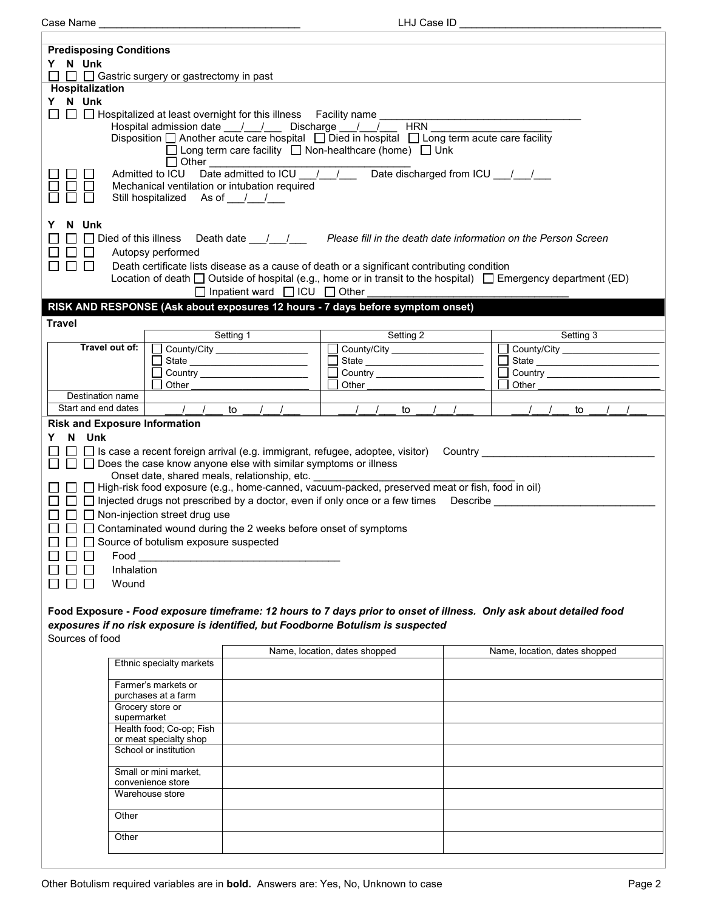Case Name \_\_\_\_\_\_\_\_\_\_\_\_\_\_\_\_\_\_\_\_\_\_\_\_\_\_\_\_\_\_\_\_\_\_\_ LHJ Case ID \_\_\_\_\_\_\_\_\_\_\_\_\_\_\_\_\_\_\_\_\_\_\_\_\_\_\_\_\_\_\_\_\_\_\_

| <b>Predisposing Conditions</b><br>Y N Unk                                                                                                                                                               |                                                                                                                          |                                               |                               |            |                                  |                                                                |           |             |
|---------------------------------------------------------------------------------------------------------------------------------------------------------------------------------------------------------|--------------------------------------------------------------------------------------------------------------------------|-----------------------------------------------|-------------------------------|------------|----------------------------------|----------------------------------------------------------------|-----------|-------------|
| $\Box$ $\Box$ Gastric surgery or gastrectomy in past                                                                                                                                                    |                                                                                                                          |                                               |                               |            |                                  |                                                                |           |             |
| Hospitalization                                                                                                                                                                                         |                                                                                                                          |                                               |                               |            |                                  |                                                                |           |             |
| Y N Unk<br>$\mathsf{L}$                                                                                                                                                                                 | $\Box$ Hospitalized at least overnight for this illness Facility name                                                    |                                               |                               |            |                                  |                                                                |           |             |
|                                                                                                                                                                                                         | Hospital admission date ___/___/____ Discharge ___/___/___                                                               |                                               |                               | <b>HRN</b> |                                  |                                                                |           |             |
|                                                                                                                                                                                                         | Disposition $\Box$ Another acute care hospital $\Box$ Died in hospital $\Box$ Long term acute care facility              |                                               |                               |            |                                  |                                                                |           |             |
|                                                                                                                                                                                                         | $\Box$ Long term care facility $\Box$ Non-healthcare (home) $\Box$ Unk<br>$\Box$ Other                                   |                                               |                               |            |                                  |                                                                |           |             |
|                                                                                                                                                                                                         |                                                                                                                          |                                               |                               |            |                                  |                                                                |           |             |
|                                                                                                                                                                                                         | Mechanical ventilation or intubation required                                                                            |                                               |                               |            |                                  |                                                                |           |             |
|                                                                                                                                                                                                         | Still hospitalized As of / /                                                                                             |                                               |                               |            |                                  |                                                                |           |             |
| N Unk                                                                                                                                                                                                   |                                                                                                                          |                                               |                               |            |                                  |                                                                |           |             |
| $\Box$ Died of this illness                                                                                                                                                                             |                                                                                                                          | Death date $\_/-/-$                           |                               |            |                                  | Please fill in the death date information on the Person Screen |           |             |
|                                                                                                                                                                                                         | Autopsy performed                                                                                                        |                                               |                               |            |                                  |                                                                |           |             |
| $\Box$ $\Box$                                                                                                                                                                                           | Death certificate lists disease as a cause of death or a significant contributing condition                              |                                               |                               |            |                                  |                                                                |           |             |
|                                                                                                                                                                                                         | Location of death $\Box$ Outside of hospital (e.g., home or in transit to the hospital) $\Box$ Emergency department (ED) |                                               |                               |            |                                  |                                                                |           |             |
|                                                                                                                                                                                                         |                                                                                                                          | $\Box$ Inpatient ward $\Box$ ICU $\Box$ Other |                               |            |                                  |                                                                |           |             |
|                                                                                                                                                                                                         | RISK AND RESPONSE (Ask about exposures 12 hours - 7 days before symptom onset)                                           |                                               |                               |            |                                  |                                                                |           |             |
| <b>Travel</b>                                                                                                                                                                                           | Setting 1                                                                                                                |                                               |                               | Setting 2  |                                  |                                                                | Setting 3 |             |
| Travel out of:                                                                                                                                                                                          | County/City _____________________                                                                                        |                                               |                               |            | County/City ____________________ |                                                                |           | County/City |
|                                                                                                                                                                                                         |                                                                                                                          |                                               |                               |            | State                            |                                                                |           |             |
|                                                                                                                                                                                                         | Country ______________________                                                                                           |                                               |                               |            |                                  |                                                                |           |             |
| Destination name                                                                                                                                                                                        | Other                                                                                                                    |                                               | Other                         |            |                                  | Other                                                          |           |             |
| Start and end dates                                                                                                                                                                                     | $\frac{1}{2}$<br>to                                                                                                      |                                               |                               | to         |                                  |                                                                | to        |             |
| <b>Risk and Exposure Information</b>                                                                                                                                                                    |                                                                                                                          |                                               |                               |            |                                  |                                                                |           |             |
| N Unk<br>Y                                                                                                                                                                                              |                                                                                                                          |                                               |                               |            |                                  |                                                                |           |             |
|                                                                                                                                                                                                         | $\Box$ $\Box$ Is case a recent foreign arrival (e.g. immigrant, refugee, adoptee, visitor)  Country _____________        |                                               |                               |            |                                  |                                                                |           |             |
|                                                                                                                                                                                                         | $\Box$ Does the case know anyone else with similar symptoms or illness<br>Onset date, shared meals, relationship, etc.   |                                               |                               |            |                                  |                                                                |           |             |
|                                                                                                                                                                                                         | □ □ High-risk food exposure (e.g., home-canned, vacuum-packed, preserved meat or fish, food in oil)                      |                                               |                               |            |                                  |                                                                |           |             |
|                                                                                                                                                                                                         | $\Box$ Injected drugs not prescribed by a doctor, even if only once or a few times Describe                              |                                               |                               |            |                                  |                                                                |           |             |
|                                                                                                                                                                                                         | $\Box$ Non-injection street drug use                                                                                     |                                               |                               |            |                                  |                                                                |           |             |
|                                                                                                                                                                                                         | $\Box$ Contaminated wound during the 2 weeks before onset of symptoms                                                    |                                               |                               |            |                                  |                                                                |           |             |
|                                                                                                                                                                                                         | $\Box$ Source of botulism exposure suspected                                                                             |                                               |                               |            |                                  |                                                                |           |             |
| Food<br>Inhalation                                                                                                                                                                                      |                                                                                                                          |                                               |                               |            |                                  |                                                                |           |             |
| Wound                                                                                                                                                                                                   |                                                                                                                          |                                               |                               |            |                                  |                                                                |           |             |
|                                                                                                                                                                                                         |                                                                                                                          |                                               |                               |            |                                  |                                                                |           |             |
|                                                                                                                                                                                                         |                                                                                                                          |                                               |                               |            |                                  |                                                                |           |             |
| Food Exposure - Food exposure timeframe: 12 hours to 7 days prior to onset of illness. Only ask about detailed food<br>exposures if no risk exposure is identified, but Foodborne Botulism is suspected |                                                                                                                          |                                               |                               |            |                                  |                                                                |           |             |
| Sources of food                                                                                                                                                                                         |                                                                                                                          |                                               |                               |            |                                  |                                                                |           |             |
|                                                                                                                                                                                                         | Ethnic specialty markets                                                                                                 |                                               | Name, location, dates shopped |            |                                  | Name, location, dates shopped                                  |           |             |
|                                                                                                                                                                                                         |                                                                                                                          |                                               |                               |            |                                  |                                                                |           |             |
|                                                                                                                                                                                                         | Farmer's markets or                                                                                                      |                                               |                               |            |                                  |                                                                |           |             |
|                                                                                                                                                                                                         | purchases at a farm<br>Grocery store or                                                                                  |                                               |                               |            |                                  |                                                                |           |             |
|                                                                                                                                                                                                         | supermarket                                                                                                              |                                               |                               |            |                                  |                                                                |           |             |
|                                                                                                                                                                                                         | Health food; Co-op; Fish<br>or meat specialty shop                                                                       |                                               |                               |            |                                  |                                                                |           |             |
|                                                                                                                                                                                                         | School or institution                                                                                                    |                                               |                               |            |                                  |                                                                |           |             |
|                                                                                                                                                                                                         | Small or mini market,                                                                                                    |                                               |                               |            |                                  |                                                                |           |             |
|                                                                                                                                                                                                         | convenience store                                                                                                        |                                               |                               |            |                                  |                                                                |           |             |
| Warehouse store                                                                                                                                                                                         |                                                                                                                          |                                               |                               |            |                                  |                                                                |           |             |
| Other                                                                                                                                                                                                   |                                                                                                                          |                                               |                               |            |                                  |                                                                |           |             |
|                                                                                                                                                                                                         |                                                                                                                          |                                               |                               |            |                                  |                                                                |           |             |
| Other                                                                                                                                                                                                   |                                                                                                                          |                                               |                               |            |                                  |                                                                |           |             |
|                                                                                                                                                                                                         |                                                                                                                          |                                               |                               |            |                                  |                                                                |           |             |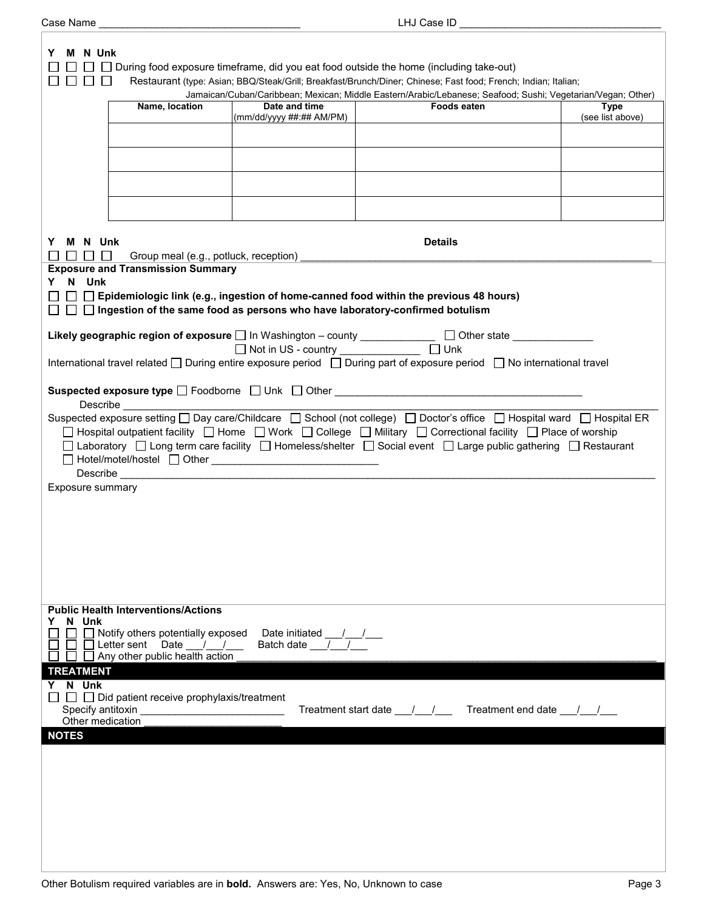| M N Unk                                                                                                                                                                                                  |                                                                |                                                                                                                                                                                                                                                                                                                                                                                                                    |                                                                                                                         |                                 |  |
|----------------------------------------------------------------------------------------------------------------------------------------------------------------------------------------------------------|----------------------------------------------------------------|--------------------------------------------------------------------------------------------------------------------------------------------------------------------------------------------------------------------------------------------------------------------------------------------------------------------------------------------------------------------------------------------------------------------|-------------------------------------------------------------------------------------------------------------------------|---------------------------------|--|
| During food exposure timeframe, did you eat food outside the home (including take-out)<br>Restaurant (type: Asian; BBQ/Steak/Grill; Breakfast/Brunch/Diner; Chinese; Fast food; French; Indian; Italian; |                                                                |                                                                                                                                                                                                                                                                                                                                                                                                                    |                                                                                                                         |                                 |  |
|                                                                                                                                                                                                          |                                                                |                                                                                                                                                                                                                                                                                                                                                                                                                    | Jamaican/Cuban/Caribbean; Mexican; Middle Eastern/Arabic/Lebanese; Seafood; Sushi; Vegetarian/Vegan; Other)             |                                 |  |
|                                                                                                                                                                                                          | Name, location                                                 | Date and time<br>(mm/dd/yyyy ##:## AM/PM)                                                                                                                                                                                                                                                                                                                                                                          | Foods eaten                                                                                                             | <b>Type</b><br>(see list above) |  |
|                                                                                                                                                                                                          |                                                                |                                                                                                                                                                                                                                                                                                                                                                                                                    |                                                                                                                         |                                 |  |
|                                                                                                                                                                                                          |                                                                |                                                                                                                                                                                                                                                                                                                                                                                                                    |                                                                                                                         |                                 |  |
|                                                                                                                                                                                                          |                                                                |                                                                                                                                                                                                                                                                                                                                                                                                                    |                                                                                                                         |                                 |  |
|                                                                                                                                                                                                          |                                                                |                                                                                                                                                                                                                                                                                                                                                                                                                    |                                                                                                                         |                                 |  |
|                                                                                                                                                                                                          |                                                                |                                                                                                                                                                                                                                                                                                                                                                                                                    |                                                                                                                         |                                 |  |
|                                                                                                                                                                                                          |                                                                |                                                                                                                                                                                                                                                                                                                                                                                                                    |                                                                                                                         |                                 |  |
|                                                                                                                                                                                                          |                                                                |                                                                                                                                                                                                                                                                                                                                                                                                                    |                                                                                                                         |                                 |  |
| M N Unk<br>Y                                                                                                                                                                                             |                                                                |                                                                                                                                                                                                                                                                                                                                                                                                                    | <b>Details</b>                                                                                                          |                                 |  |
| .                                                                                                                                                                                                        | <b>Exposure and Transmission Summary</b>                       | Group meal (e.g., potluck, reception) ______                                                                                                                                                                                                                                                                                                                                                                       |                                                                                                                         |                                 |  |
| Y N Unk                                                                                                                                                                                                  |                                                                |                                                                                                                                                                                                                                                                                                                                                                                                                    |                                                                                                                         |                                 |  |
|                                                                                                                                                                                                          |                                                                |                                                                                                                                                                                                                                                                                                                                                                                                                    | $\Box$ Epidemiologic link (e.g., ingestion of home-canned food within the previous 48 hours)                            |                                 |  |
|                                                                                                                                                                                                          |                                                                |                                                                                                                                                                                                                                                                                                                                                                                                                    | $\Box$ $\Box$ Ingestion of the same food as persons who have laboratory-confirmed botulism                              |                                 |  |
|                                                                                                                                                                                                          |                                                                |                                                                                                                                                                                                                                                                                                                                                                                                                    | Likely geographic region of exposure $\square$ In Washington - county ____________ $\square$ Other state ____________   |                                 |  |
|                                                                                                                                                                                                          |                                                                |                                                                                                                                                                                                                                                                                                                                                                                                                    |                                                                                                                         |                                 |  |
|                                                                                                                                                                                                          |                                                                |                                                                                                                                                                                                                                                                                                                                                                                                                    | International travel related □ During entire exposure period □ During part of exposure period □ No international travel |                                 |  |
|                                                                                                                                                                                                          |                                                                |                                                                                                                                                                                                                                                                                                                                                                                                                    |                                                                                                                         |                                 |  |
|                                                                                                                                                                                                          |                                                                |                                                                                                                                                                                                                                                                                                                                                                                                                    | Suspected exposure type □ Foodborne □ Unk □ Other _______________________________                                       |                                 |  |
|                                                                                                                                                                                                          |                                                                |                                                                                                                                                                                                                                                                                                                                                                                                                    | Suspected exposure setting □ Day care/Childcare □ School (not college) □ Doctor's office □ Hospital ward □ Hospital ER  |                                 |  |
|                                                                                                                                                                                                          |                                                                |                                                                                                                                                                                                                                                                                                                                                                                                                    | □ Hospital outpatient facility □ Home □ Work □ College □ Military □ Correctional facility □ Place of worship            |                                 |  |
|                                                                                                                                                                                                          |                                                                |                                                                                                                                                                                                                                                                                                                                                                                                                    | □ Laboratory □ Long term care facility □ Homeless/shelter □ Social event □ Large public gathering □ Restaurant          |                                 |  |
|                                                                                                                                                                                                          |                                                                | $\fbox{ Hotel/motel/hostel } \fbox{ Other } \underline{\hbox{ I} \fbox{ Other } \underline{\hbox{ I} \fbox{ I} \fbox{ Other } \hbox{ I} \fbox{ I} \fbox{ O}} } \fbox{ I} \fbox{ I} \fbox{ I} \fbox{ I} \fbox{ I} \fbox{ I} \fbox{ I} \fbox{ I} \fbox{ I} \fbox{ I} \fbox{ I} \fbox{ I} \fbox{ I} \fbox{ I} \fbox{ I} \fbox{ I} \fbox{ I} \fbox{ I} \fbox{ I} \fbox{ I} \fbox{ I} \fbox{ I} \fbox{ I} \fbox{ I} \f$ |                                                                                                                         |                                 |  |
|                                                                                                                                                                                                          |                                                                |                                                                                                                                                                                                                                                                                                                                                                                                                    |                                                                                                                         |                                 |  |
| <b>Exposure summary</b>                                                                                                                                                                                  |                                                                |                                                                                                                                                                                                                                                                                                                                                                                                                    |                                                                                                                         |                                 |  |
|                                                                                                                                                                                                          |                                                                |                                                                                                                                                                                                                                                                                                                                                                                                                    |                                                                                                                         |                                 |  |
|                                                                                                                                                                                                          |                                                                |                                                                                                                                                                                                                                                                                                                                                                                                                    |                                                                                                                         |                                 |  |
|                                                                                                                                                                                                          |                                                                |                                                                                                                                                                                                                                                                                                                                                                                                                    |                                                                                                                         |                                 |  |
|                                                                                                                                                                                                          |                                                                |                                                                                                                                                                                                                                                                                                                                                                                                                    |                                                                                                                         |                                 |  |
|                                                                                                                                                                                                          |                                                                |                                                                                                                                                                                                                                                                                                                                                                                                                    |                                                                                                                         |                                 |  |
|                                                                                                                                                                                                          |                                                                |                                                                                                                                                                                                                                                                                                                                                                                                                    |                                                                                                                         |                                 |  |
|                                                                                                                                                                                                          | <b>Public Health Interventions/Actions</b>                     |                                                                                                                                                                                                                                                                                                                                                                                                                    |                                                                                                                         |                                 |  |
| N Unk<br>Y                                                                                                                                                                                               |                                                                |                                                                                                                                                                                                                                                                                                                                                                                                                    |                                                                                                                         |                                 |  |
|                                                                                                                                                                                                          | $\Box$ Notify others potentially exposed                       | Date initiated $\frac{1}{\sqrt{1-\frac{1}{2}}}$                                                                                                                                                                                                                                                                                                                                                                    |                                                                                                                         |                                 |  |
|                                                                                                                                                                                                          | □ □ Letter sent Date / /<br>□ □ Any other public health action |                                                                                                                                                                                                                                                                                                                                                                                                                    |                                                                                                                         |                                 |  |
| <b>TREATMENT</b>                                                                                                                                                                                         |                                                                |                                                                                                                                                                                                                                                                                                                                                                                                                    |                                                                                                                         |                                 |  |
| Y N Unk                                                                                                                                                                                                  |                                                                |                                                                                                                                                                                                                                                                                                                                                                                                                    |                                                                                                                         |                                 |  |
| Specify antitoxin                                                                                                                                                                                        | $\Box$ $\Box$ Did patient receive prophylaxis/treatment        |                                                                                                                                                                                                                                                                                                                                                                                                                    | Treatment start date ___/___/ _____ Treatment end date ___/___/ ___                                                     |                                 |  |
| Other medication                                                                                                                                                                                         |                                                                |                                                                                                                                                                                                                                                                                                                                                                                                                    |                                                                                                                         |                                 |  |
| <b>NOTES</b>                                                                                                                                                                                             |                                                                |                                                                                                                                                                                                                                                                                                                                                                                                                    |                                                                                                                         |                                 |  |
|                                                                                                                                                                                                          |                                                                |                                                                                                                                                                                                                                                                                                                                                                                                                    |                                                                                                                         |                                 |  |
|                                                                                                                                                                                                          |                                                                |                                                                                                                                                                                                                                                                                                                                                                                                                    |                                                                                                                         |                                 |  |
|                                                                                                                                                                                                          |                                                                |                                                                                                                                                                                                                                                                                                                                                                                                                    |                                                                                                                         |                                 |  |
|                                                                                                                                                                                                          |                                                                |                                                                                                                                                                                                                                                                                                                                                                                                                    |                                                                                                                         |                                 |  |
|                                                                                                                                                                                                          |                                                                |                                                                                                                                                                                                                                                                                                                                                                                                                    |                                                                                                                         |                                 |  |
|                                                                                                                                                                                                          |                                                                |                                                                                                                                                                                                                                                                                                                                                                                                                    |                                                                                                                         |                                 |  |
|                                                                                                                                                                                                          |                                                                |                                                                                                                                                                                                                                                                                                                                                                                                                    |                                                                                                                         |                                 |  |
|                                                                                                                                                                                                          |                                                                |                                                                                                                                                                                                                                                                                                                                                                                                                    |                                                                                                                         |                                 |  |

Case Name \_\_\_\_\_\_\_\_\_\_\_\_\_\_\_\_\_\_\_\_\_\_\_\_\_\_\_\_\_\_\_\_\_\_\_ LHJ Case ID \_\_\_\_\_\_\_\_\_\_\_\_\_\_\_\_\_\_\_\_\_\_\_\_\_\_\_\_\_\_\_\_\_\_\_